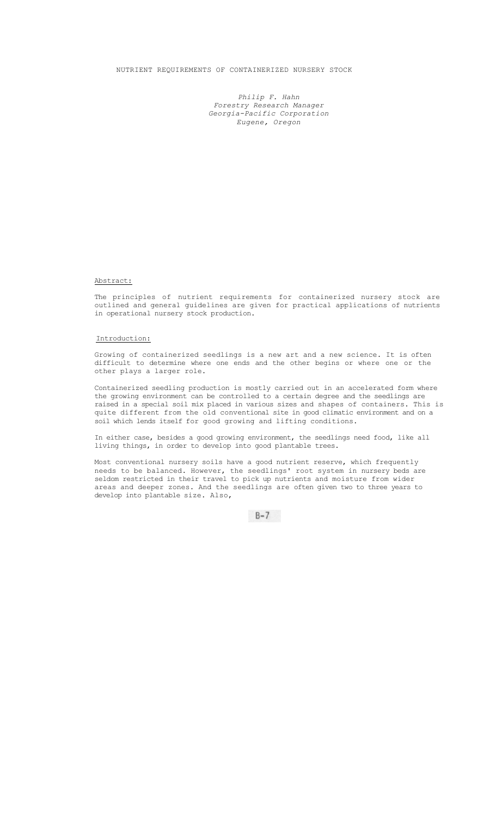## NUTRIENT REQUIREMENTS OF CONTAINERIZED NURSERY STOCK

*Philip F. Hahn Forestry Research Manager Georgia-Pacific Corporation Eugene, Oregon* 

## Abstract:

The principles of nutrient requirements for containerized nursery stock are outlined and general guidelines are given for practical applications of nutrients in operational nursery stock production.

## Introduction:

Growing of containerized seedlings is a new art and a new science. It is often difficult to determine where one ends and the other begins or where one or the other plays a larger role.

Containerized seedling production is mostly carried out in an accelerated form where the growing environment can be controlled to a certain degree and the seedlings are raised in a special soil mix placed in various sizes and shapes of containers. This is quite different from the old conventional site in good climatic environment and on a soil which lends itself for good growing and lifting conditions.

In either case, besides a good growing environment, the seedlings need food, like all living things, in order to develop into good plantable trees.

Most conventional nursery soils have a good nutrient reserve, which frequently needs to be balanced. However, the seedlings' root system in nursery beds are seldom restricted in their travel to pick up nutrients and moisture from wider areas and deeper zones. And the seedlings are often given two to three years to develop into plantable size. Also,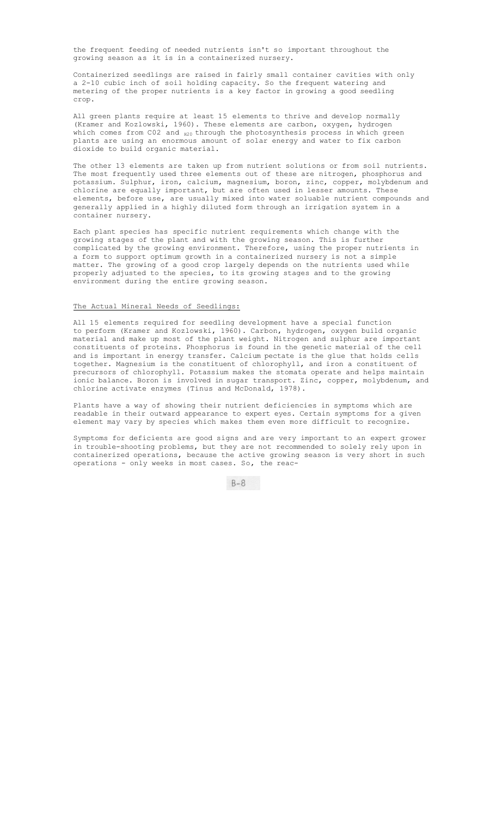the frequent feeding of needed nutrients isn't so important throughout the growing season as it is in a containerized nursery.

Containerized seedlings are raised in fairly small container cavities with only a 2-10 cubic inch of soil holding capacity. So the frequent watering and metering of the proper nutrients is a key factor in growing a good seedling crop.

All green plants require at least 15 elements to thrive and develop normally (Kramer and Kozlowski, 1960). These elements are carbon, oxygen, hydrogen which comes from  $CO2$  and  $_{H20}$  through the photosynthesis process in which green plants are using an enormous amount of solar energy and water to fix carbon dioxide to build organic material.

The other 13 elements are taken up from nutrient solutions or from soil nutrients. The most frequently used three elements out of these are nitrogen, phosphorus and potassium. Sulphur, iron, calcium, magnesium, boron, zinc, copper, molybdenum and chlorine are equally important, but are often used in lesser amounts. These elements, before use, are usually mixed into water soluable nutrient compounds and generally applied in a highly diluted form through an irrigation system in a container nursery.

Each plant species has specific nutrient requirements which change with the growing stages of the plant and with the growing season. This is further complicated by the growing environment. Therefore, using the proper nutrients in a form to support optimum growth in a containerized nursery is not a simple matter. The growing of a good crop largely depends on the nutrients used while properly adjusted to the species, to its growing stages and to the growing environment during the entire growing season.

### The Actual Mineral Needs of Seedlings:

All 15 elements required for seedling development have a special function to perform (Kramer and Kozlowski, 1960). Carbon, hydrogen, oxygen build organic material and make up most of the plant weight. Nitrogen and sulphur are important constituents of proteins. Phosphorus is found in the genetic material of the cell and is important in energy transfer. Calcium pectate is the glue that holds cells together. Magnesium is the constituent of chlorophyll, and iron a constituent of precursors of chlorophyll. Potassium makes the stomata operate and helps maintain ionic balance. Boron is involved in sugar transport. Zinc, copper, molybdenum, and chlorine activate enzymes (Tinus and McDonald, 1978).

Plants have a way of showing their nutrient deficiencies in symptoms which are readable in their outward appearance to expert eyes. Certain symptoms for a given element may vary by species which makes them even more difficult to recognize.

Symptoms for deficients are good signs and are very important to an expert grower in trouble-shooting problems, but they are not recommended to solely rely upon in containerized operations, because the active growing season is very short in such operations - only weeks in most cases. So, the reac-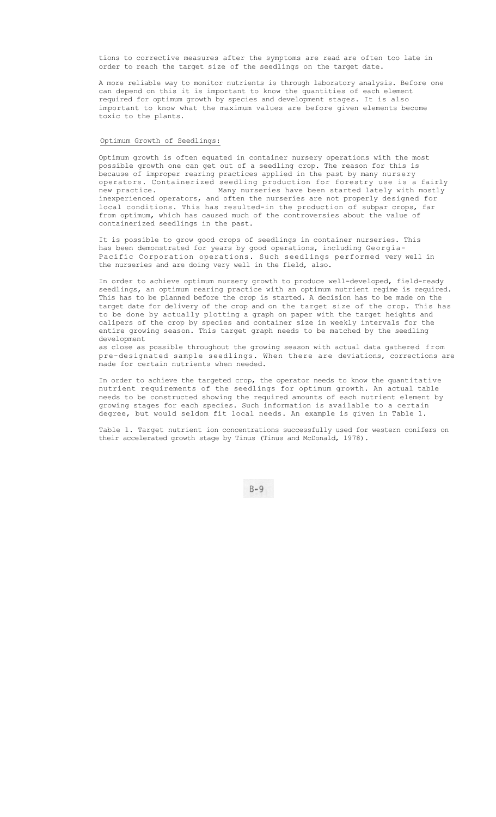tions to corrective measures after the symptoms are read are often too late in order to reach the target size of the seedlings on the target date.

A more reliable way to monitor nutrients is through laboratory analysis. Before one can depend on this it is important to know the quantities of each element required for optimum growth by species and development stages. It is also important to know what the maximum values are before given elements become toxic to the plants.

#### Optimum Growth of Seedlings:

Optimum growth is often equated in container nursery operations with the most possible growth one can get out of a seedling crop. The reason for this is because of improper rearing practices applied in the past by many nursery operators. Containerized seedling production for forestry use is a fairly new practice. Many nurseries have been started lately with mostly inexperienced operators, and often the nurseries are not properly designed for local conditions. This has resulted-in the production of subpar crops, far from optimum, which has caused much of the controversies about the value of containerized seedlings in the past.

It is possible to grow good crops of seedlings in container nurseries. This has been demonstrated for years by good operations, including Georgia-Pacific Corporation operations. Such seedlings performed very well in the nurseries and are doing very well in the field, also.

In order to achieve optimum nursery growth to produce well-developed, field-ready seedlings, an optimum rearing practice with an optimum nutrient regime is required. This has to be planned before the crop is started. A decision has to be made on the target date for delivery of the crop and on the target size of the crop. This has to be done by actually plotting a graph on paper with the target heights and calipers of the crop by species and container size in weekly intervals for the entire growing season. This target graph needs to be matched by the seedling development

as close as possible throughout the growing season with actual data gathered from pre-designated sample seedlings. When there are deviations, corrections are made for certain nutrients when needed.

In order to achieve the targeted crop, the operator needs to know the quantitative nutrient requirements of the seedlings for optimum growth. An actual table needs to be constructed showing the required amounts of each nutrient element by growing stages for each species. Such information is available to a certain degree, but would seldom fit local needs. An example is given in Table 1.

Table 1. Target nutrient ion concentrations successfully used for western conifers on their accelerated growth stage by Tinus (Tinus and McDonald, 1978).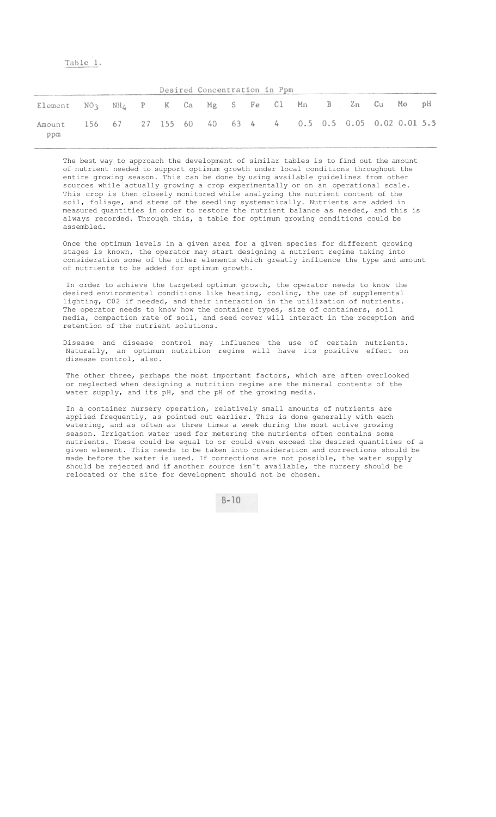# Table 1.

|                                                                     |  |  |  |  | Desired Concentration in Ppm |  |  |  |
|---------------------------------------------------------------------|--|--|--|--|------------------------------|--|--|--|
| Element $NO_3$ $NH_4$ P K Ca Mg S Fe Cl Mn B Zn Cu Mo pH            |  |  |  |  |                              |  |  |  |
| Amount 156 67 27 155 60 40 63 4 4 0.5 0.5 0.05 0.02 0.01 5.5<br>ppm |  |  |  |  |                              |  |  |  |

The best way to approach the development of similar tables is to find out the amount of nutrient needed to support optimum growth under local conditions throughout the entire growing season. This can be done by using available guidelines from other sources while actually growing a crop experimentally or on an operational scale. This crop is then closely monitored while analyzing the nutrient content of the soil, foliage, and stems of the seedling systematically. Nutrients are added in measured quantities in order to restore the nutrient balance as needed, and this is always recorded. Through this, a table for optimum growing conditions could be assembled.

Once the optimum levels in a given area for a given species for different growing stages is known, the operator may start designing a nutrient regime taking into consideration some of the other elements which greatly influence the type and amount of nutrients to be added for optimum growth.

In order to achieve the targeted optimum growth, the operator needs to know the desired environmental conditions like heating, cooling, the use of supplemental lighting, C02 if needed, and their interaction in the utilization of nutrients. The operator needs to know how the container types, size of containers, soil media, compaction rate of soil, and seed cover will interact in the reception and retention of the nutrient solutions.

Disease and disease control may influence the use of certain nutrients. Naturally, an optimum nutrition regime will have its positive effect on disease control, also.

The other three, perhaps the most important factors, which are often overlooked or neglected when designing a nutrition regime are the mineral contents of the water supply, and its pH, and the pH of the growing media.

In a container nursery operation, relatively small amounts of nutrients are applied frequently, as pointed out earlier. This is done generally with each watering, and as often as three times a week during the most active growing season. Irrigation water used for metering the nutrients often contains some nutrients. These could be equal to or could even exceed the desired quantities of a given element. This needs to be taken into consideration and corrections should be made before the water is used. If corrections are not possible, the water supply should be rejected and if another source isn't available, the nursery should be relocated or the site for development should not be chosen.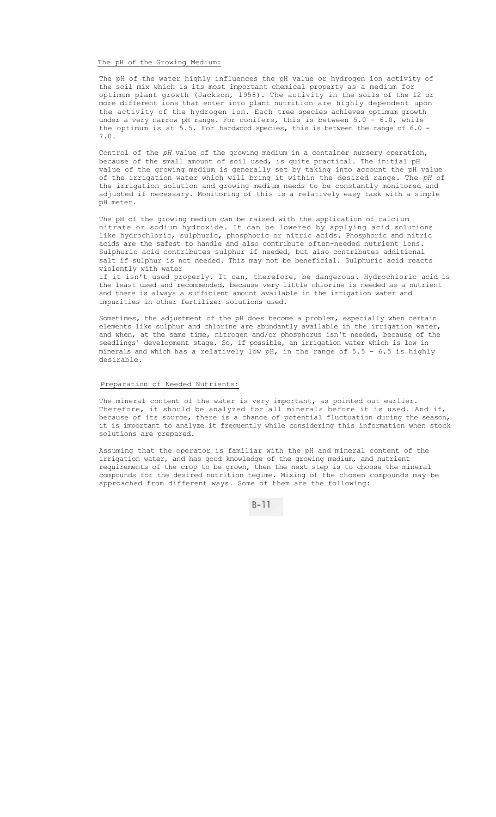The pH of the Growing Medium:

The pH of the water highly influences the pH value or hydrogen ion activity of the soil mix which is its most important chemical property as a medium for optimum plant growth (Jackson, 1958). The activity in the soils of the 12 or more different ions that enter into plant nutrition are highly dependent upon the activity of the hydrogen ion. Each tree species achieves optimum growth under a very narrow pH range. For conifers, this is between 5.0 - 6.0, while under a very narrow pH range. For conifers, this is between  $5.0$ the optimum is at 5.5. For hardwood species, this is between the range of 6.0 - 7.0.

Control of the *pH* value of the growing medium in a container nursery operation, because of the small amount of soil used, is quite practical. The initial pH value of the growing medium is generally set by taking into account the pH value of the irrigation water which will bring it within the desired range. The *pH* of the irrigation solution and growing medium needs to be constantly monitored and adjusted if necessary. Monitoring of this is a relatively easy task with a simple pH meter.

The pH of the growing medium can be raised with the application of calcium nitrate or sodium hydroxide. It can be lowered by applying acid solutions like hydrochloric, sulphuric, phosphoric or nitric acids. Phosphoric and nitric acids are the safest to handle and also contribute often-needed nutrient ions. Sulphuric acid contributes sulphur if needed, but also contributes additional salt if sulphur is not needed. This may not be beneficial. Sulphuric acid reacts violently with water

if it isn't used properly. It can, therefore, be dangerous. Hydrochloric acid is the least used and recommended, because very little chlorine is needed as a nutrient and there is always a sufficient amount available in the irrigation water and impurities in other fertilizer solutions used.

Sometimes, the adjustment of the pH does become a problem, especially when certain elements like sulphur and chlorine are abundantly available in the irrigation water, and when, at the same time, nitrogen and/or phosphorus isn't needed, because of the seedlings' development stage. So, if possible, an irrigation water which is low in minerals and which has a relatively low pH, in the range of 5.5 - 6.5 is highly desirable.

#### Preparation of Needed Nutrients:

The mineral content of the water is very important, as pointed out earlier. Therefore, it should be analyzed for all minerals before it is used. And if, because of its source, there is a chance of potential fluctuation during the season, it is important to analyze it frequently while considering this information when stock solutions are prepared.

Assuming that the operator is familiar with the pH and mineral content of the irrigation water, and has good knowledge of the growing medium, and nutrient requirements of the crop to be grown, then the next step is to choose the mineral compounds for the desired nutrition tegime. Mixing of the chosen compounds may be approached from different ways. Some of them are the following: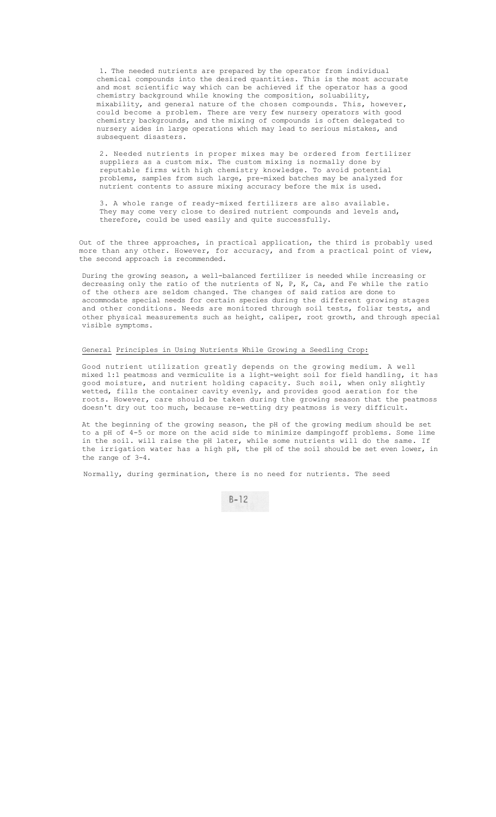1. The needed nutrients are prepared by the operator from individual chemical compounds into the desired quantities. This is the most accurate and most scientific way which can be achieved if the operator has a good chemistry background while knowing the composition, soluability, mixability, and general nature of the chosen compounds. This, however, could become a problem. There are very few nursery operators with good chemistry backgrounds, and the mixing of compounds is often delegated to nursery aides in large operations which may lead to serious mistakes, and subsequent disasters.

2. Needed nutrients in proper mixes may be ordered from fertilizer suppliers as a custom mix. The custom mixing is normally done by reputable firms with high chemistry knowledge. To avoid potential problems, samples from such large, pre-mixed batches may be analyzed for nutrient contents to assure mixing accuracy before the mix is used.

3. A whole range of ready-mixed fertilizers are also available. They may come very close to desired nutrient compounds and levels and, therefore, could be used easily and quite successfully.

Out of the three approaches, in practical application, the third is probably used more than any other. However, for accuracy, and from a practical point of view, the second approach is recommended.

During the growing season, a well-balanced fertilizer is needed while increasing or decreasing only the ratio of the nutrients of N, P, K, Ca, and Fe while the ratio of the others are seldom changed. The changes of said ratios are done to accommodate special needs for certain species during the different growing stages and other conditions. Needs are monitored through soil tests, foliar tests, and other physical measurements such as height, caliper, root growth, and through special visible symptoms.

#### General Principles in Using Nutrients While Growing a Seedling Crop:

Good nutrient utilization greatly depends on the growing medium. A well mixed 1:1 peatmoss and vermiculite is a light-weight soil for field handling, it has good moisture, and nutrient holding capacity. Such soil, when only slightly wetted, fills the container cavity evenly, and provides good aeration for the roots. However, care should be taken during the growing season that the peatmoss doesn't dry out too much, because re-wetting dry peatmoss is very difficult.

At the beginning of the growing season, the pH of the growing medium should be set to a pH of 4-5 or more on the acid side to minimize dampingoff problems. Some lime in the soil. will raise the pH later, while some nutrients will do the same. If the irrigation water has a high pH, the pH of the soil should be set even lower, in the range of 3-4.

Normally, during germination, there is no need for nutrients. The seed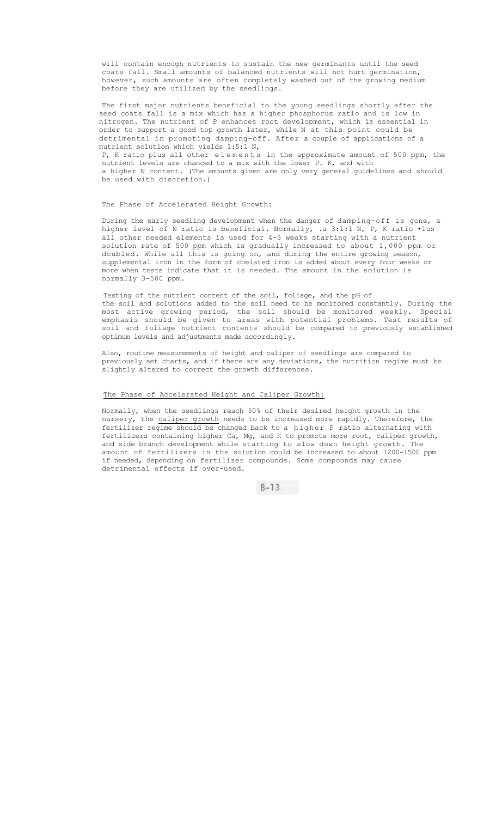will contain enough nutrients to sustain the new germinants until the seed coats fall. Small amounts of balanced nutrients will not hurt germination, however, such amounts are often completely washed out of the growing medium before they are utilized by the seedlings.

The first major nutrients beneficial to the young seedlings shortly after the seed coats fall is a mix which has a higher phosphorus ratio and is low in nitrogen. The nutrient of P enhances root development, which is essential in order to support a good top growth later, while N at this point could be detrimental in promoting damping-off. After a couple of applications of a nutrient solution which yields 1:5:1 N,

P, K ratio plus all other elements in the approximate amount of 500 ppm, the nutrient levels are chanced to a mix with the lower P. K, and with a higher N content. (The amounts given are only very general guidelines and should be used with discretion.)

#### The Phase of Accelerated Height Growth:

During the early seedling development when the danger of damping-off is gone, a higher level of N ratio is beneficial. Normally, .a 3:1:1 N, P, K ratio •lus all other needed elements is used for 4-5 weeks starting with a nutrient solution rate of 500 ppm which is gradually increased to about 1,000 ppm or doubled. While all this is going on, and during the entire growing season, supplemental iron in the form of chelated iron is added about every four weeks or more when tests indicate that it is needed. The amount in the solution is normally 3-500 ppm.

Testing of the nutrient content of the soil, foliage, and the pH of the soil and solutions added to the soil need to be monitored constantly. During the most active growing period, the soil should be monitored weekly. Special emphasis should be given to areas with potential problems. Test results of soil and foliage nutrient contents should be compared to previously established optimum levels and adjustments made accordingly.

Also, routine measurements of height and caliper of seedlings are compared to previously set charts, and if there are any deviations, the nutrition regime must be slightly altered to correct the growth differences.

#### The Phase of Accelerated Height and Caliper Growth:

Normally, when the seedlings reach 50% of their desired height growth in the nursery, the caliper growth needs to be increased more rapidly. Therefore, the fertilizer regime should be changed back to a higher P ratio alternating with fertilizers containing higher Ca, Mg, and K to promote more root, caliper growth, and side branch development while starting to slow down height growth. The amount of fertilizers in the solution could be increased to about 1200-1500 ppm if needed, depending on fertilizer compounds. Some compounds may cause detrimental effects if over-used.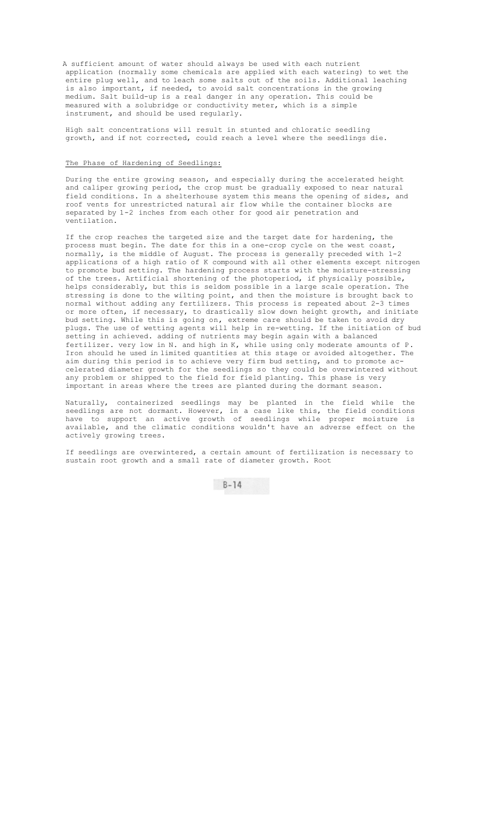A sufficient amount of water should always be used with each nutrient application (normally some chemicals are applied with each watering) to wet the entire plug well, and to leach some salts out of the soils. Additional leaching is also important, if needed, to avoid salt concentrations in the growing medium. Salt build-up is a real danger in any operation. This could be measured with a solubridge or conductivity meter, which is a simple instrument, and should be used regularly.

High salt concentrations will result in stunted and chloratic seedling growth, and if not corrected, could reach a level where the seedlings die.

## The Phase of Hardening of Seedlings:

During the entire growing season, and especially during the accelerated height and caliper growing period, the crop must be gradually exposed to near natural field conditions. In a shelterhouse system this means the opening of sides, and roof vents for unrestricted natural air flow while the container blocks are separated by 1-2 inches from each other for good air penetration and ventilation.

If the crop reaches the targeted size and the target date for hardening, the process must begin. The date for this in a one-crop cycle on the west coast, normally, is the middle of August. The process is generally preceded with 1-2 applications of a high ratio of K compound with all other elements except nitrogen to promote bud setting. The hardening process starts with the moisture-stressing of the trees. Artificial shortening of the photoperiod, if physically possible, helps considerably, but this is seldom possible in a large scale operation. The stressing is done to the wilting point, and then the moisture is brought back to normal without adding any fertilizers. This process is repeated about 2-3 times or more often, if necessary, to drastically slow down height growth, and initiate bud setting. While this is going on, extreme care should be taken to avoid dry plugs. The use of wetting agents will help in re-wetting. If the initiation of bud setting in achieved. adding of nutrients may begin again with a balanced fertilizer. very low in N. and high in K, while using only moderate amounts of P. Iron should he used in limited quantities at this stage or avoided altogether. The aim during this period is to achieve very firm bud setting, and to promote accelerated diameter growth for the seedlings so they could be overwintered without any problem or shipped to the field for field planting. This phase is very important in areas where the trees are planted during the dormant season.

Naturally, containerized seedlings may be planted in the field while the seedlings are not dormant. However, in a case like this, the field conditions have to support an active growth of seedlings while proper moisture is available, and the climatic conditions wouldn't have an adverse effect on the actively growing trees.

If seedlings are overwintered, a certain amount of fertilization is necessary to sustain root growth and a small rate of diameter growth. Root